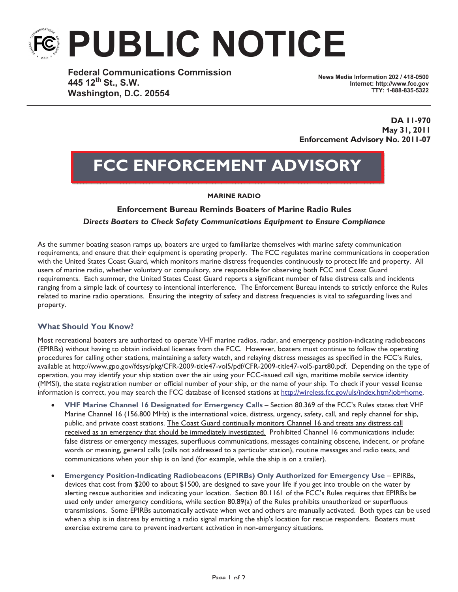# **PUBLIC NOTICE**

**Federal Communications Commission 445 12th St., S.W. Washington, D.C. 20554**

**News Media Information 202 / 418-0500 Internet: http://www.fcc.gov TTY: 1-888-835-5322**

**DA 11-970 May 31, 2011 Enforcement Advisory No. 2011-07**

# **FCC ENFORCEMENT ADVISORY**

#### **MARINE RADIO**

# **Enforcement Bureau Reminds Boaters of Marine Radio Rules** *Directs Boaters to Check Safety Communications Equipment to Ensure Compliance*

As the summer boating season ramps up, boaters are urged to familiarize themselves with marine safety communication requirements, and ensure that their equipment is operating properly. The FCC regulates marine communications in cooperation with the United States Coast Guard, which monitors marine distress frequencies continuously to protect life and property. All users of marine radio, whether voluntary or compulsory, are responsible for observing both FCC and Coast Guard requirements. Each summer, the United States Coast Guard reports a significant number of false distress calls and incidents ranging from a simple lack of courtesy to intentional interference. The Enforcement Bureau intends to strictly enforce the Rules related to marine radio operations. Ensuring the integrity of safety and distress frequencies is vital to safeguarding lives and property.

# **What Should You Know?**

Most recreational boaters are authorized to operate VHF marine radios, radar, and emergency position-indicating radiobeacons (EPIRBs) without having to obtain individual licenses from the FCC. However, boaters must continue to follow the operating procedures for calling other stations, maintaining a safety watch, and relaying distress messages as specified in the FCC's Rules, available at http://www.gpo.gov/fdsys/pkg/CFR-2009-title47-vol5/pdf/CFR-2009-title47-vol5-part80.pdf. Depending on the type of operation, you may identify your ship station over the air using your FCC-issued call sign, maritime mobile service identity (MMSI), the state registration number or official number of your ship, or the name of your ship. To check if your vessel license information is correct, you may search the FCC database of licensed stations at http://wireless.fcc.gov/uls/index.htm?job=home.

- · **VHF Marine Channel 16 Designated for Emergency Calls** Section 80.369 of the FCC's Rules states that VHF Marine Channel 16 (156.800 MHz) is the international voice, distress, urgency, safety, call, and reply channel for ship, public, and private coast stations. The Coast Guard continually monitors Channel 16 and treats any distress call received as an emergency that should be immediately investigated. Prohibited Channel 16 communications include: false distress or emergency messages, superfluous communications, messages containing obscene, indecent, or profane words or meaning, general calls (calls not addressed to a particular station), routine messages and radio tests, and communications when your ship is on land (for example, while the ship is on a trailer).
- · **Emergency Position-Indicating Radiobeacons (EPIRBs) Only Authorized for Emergency Use** EPIRBs, devices that cost from \$200 to about \$1500, are designed to save your life if you get into trouble on the water by alerting rescue authorities and indicating your location. Section 80.1161 of the FCC's Rules requires that EPIRBs be used only under emergency conditions, while section 80.89(a) of the Rules prohibits unauthorized or superfluous transmissions. Some EPIRBs automatically activate when wet and others are manually activated. Both types can be used when a ship is in distress by emitting a radio signal marking the ship's location for rescue responders. Boaters must exercise extreme care to prevent inadvertent activation in non-emergency situations.